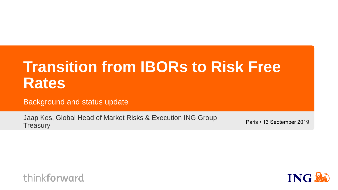# **Transition from IBORs to Risk Free Rates**

Background and status update

Jaap Kes, Global Head of Market Risks & Execution ING Group Treasury **Castal Final Contract Figure 2019**<br>Treasury



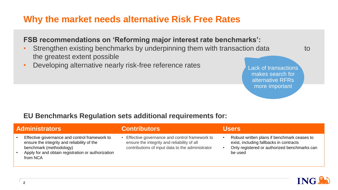### **Why the market needs alternative Risk Free Rates**

#### **FSB recommendations on 'Reforming major interest rate benchmarks':**

- Strengthen existing benchmarks by underpinning them with transaction data to the greatest extent possible
- Developing alternative nearly risk-free reference rates

Lack of transactions makes search for alternative RFRs more important

#### **EU Benchmarks Regulation sets additional requirements for:**

#### **Administrators Contributors Users** • Effective governance and control framework to ensure the integrity and reliability of the benchmark (methodology) • Apply for and obtain registration or authorization from NCA • Effective governance and control framework to ensure the integrity and reliability of all contributions of input data to the administrator • Robust written plans if benchmark ceases to exist, including fallbacks in contracts • Only registered or authorized benchmarks can be used

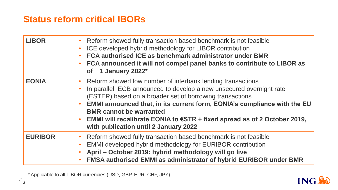## **Status reform critical IBORs**

| <b>LIBOR</b>   | Reform showed fully transaction based benchmark is not feasible<br>ICE developed hybrid methodology for LIBOR contribution<br>$\bullet$<br>FCA authorised ICE as benchmark administrator under BMR<br>FCA announced it will not compel panel banks to contribute to LIBOR as<br>$\bullet$<br>of 1 January 2022*                                                                                                                                  |
|----------------|--------------------------------------------------------------------------------------------------------------------------------------------------------------------------------------------------------------------------------------------------------------------------------------------------------------------------------------------------------------------------------------------------------------------------------------------------|
| <b>EONIA</b>   | Reform showed low number of interbank lending transactions<br>$\bullet$<br>In parallel, ECB announced to develop a new unsecured overnight rate<br>(ESTER) based on a broader set of borrowing transactions<br>EMMI announced that, in its current form, EONIA's compliance with the EU<br><b>BMR</b> cannot be warranted<br>EMMI will recalibrate EONIA to $€STR + fixed$ spread as of 2 October 2019,<br>with publication until 2 January 2022 |
| <b>EURIBOR</b> | Reform showed fully transaction based benchmark is not feasible<br>EMMI developed hybrid methodology for EURIBOR contribution<br>$\bullet$<br>April - October 2019: hybrid methodology will go live<br>FMSA authorised EMMI as administrator of hybrid EURIBOR under BMR                                                                                                                                                                         |

\* Applicable to all LIBOR currencies (USD, GBP, EUR, CHF, JPY)

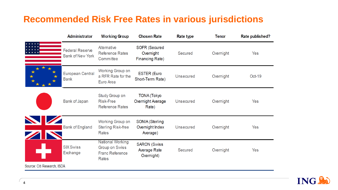## **Recommended Risk Free Rates in various jurisdictions**

|                             | <b>Administrator</b>                              | <b>Working Group</b>                                                                | <b>Chosen Rate</b>                                    | Rate type        | <b>Tenor</b> | Rate published? |
|-----------------------------|---------------------------------------------------|-------------------------------------------------------------------------------------|-------------------------------------------------------|------------------|--------------|-----------------|
|                             | <b>Federal Reserve</b><br><b>Bank of New York</b> | <b>Alternative</b><br><b>Reference Rates</b><br>Committee                           | <b>SOFR (Secured)</b><br>Overnight<br>Financing Rate) | <b>Secured</b>   | Overnight    | Yes             |
|                             | <b>European Central</b><br><b>Bank</b>            | <b>Working Group on</b><br>a RFR Rate for the<br>Euro Area                          | <b>ESTER (Euro</b><br>Short-Term Rate)                | <b>Unsecured</b> | Overnight    | <b>Oct-19</b>   |
|                             | <b>Bank of Japan</b>                              | Study Group on<br><b>Risk-Free</b><br><b>Reference Rates</b>                        | <b>TONA</b> (Tokyo<br>Overnight Average<br>Rate)      | <b>Unsecured</b> | Overnight    | Yes             |
|                             | <b>Bank of England</b>                            | <b>Working Group on</b><br><b>Sterling Risk-free</b><br><b>Rates</b>                | SONIA (Sterling<br>Overnight Index<br>Average)        | <b>Unsecured</b> | Overnight    | Yes             |
|                             | <b>SIX Swiss</b><br>Exchange                      | <b>National Working</b><br><b>Group on Swiss</b><br><b>Franc Reference</b><br>Rates | <b>SARON (Swiss</b><br>Average Rate<br>Overnight)     | <b>Secured</b>   | Overnight    | Yes             |
| Source: Citi Research, ISDA |                                                   |                                                                                     |                                                       |                  |              |                 |

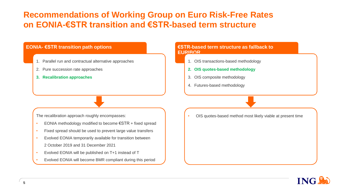### **Recommendations of Working Group on Euro Risk-Free Rates on EONIA-€STR transition and €STR-based term structure**

#### ING Madrid **EONIA- €STR transition path options**

- 1. Parallel run and contractual alternative approaches
- 2. Pure succession rate approaches
- **3. Recalibration approaches**

#### **€STR-based term structure as fallback to EURIBOR**

- 1. OIS transactions-based methodology
- **2. OIS quotes-based methodology**
- 3. OIS composite methodology
- 4. Futures-based methodology

The recalibration approach roughly encompasses:

- EONIA methodology modified to become €STR + fixed spread
- Fixed spread should be used to prevent large value transfers
- Evolved EONIA temporarily available for transition between 2 October 2019 and 31 December 2021
- Evolved EONIA will be published on T+1 instead of T
- Evolved EONIA will become BMR compliant during this period

• OIS quotes-based method most likely viable at present time